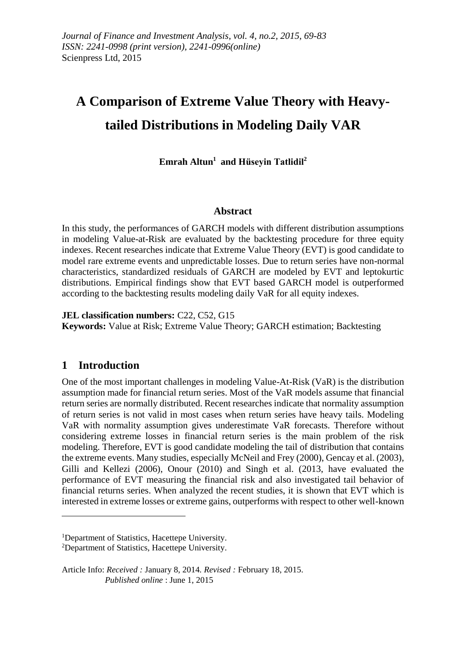# **A Comparison of Extreme Value Theory with Heavytailed Distributions in Modeling Daily VAR**

**Emrah Altun<sup>1</sup> and Hüseyin Tatlidil<sup>2</sup>**

# **Abstract**

In this study, the performances of GARCH models with different distribution assumptions in modeling Value-at-Risk are evaluated by the backtesting procedure for three equity indexes. Recent researches indicate that Extreme Value Theory (EVT) is good candidate to model rare extreme events and unpredictable losses. Due to return series have non-normal characteristics, standardized residuals of GARCH are modeled by EVT and leptokurtic distributions. Empirical findings show that EVT based GARCH model is outperformed according to the backtesting results modeling daily VaR for all equity indexes.

**JEL classification numbers:** C22, C52, G15

**Keywords:** Value at Risk; Extreme Value Theory; GARCH estimation; Backtesting

# **1 Introduction**

<u>.</u>

One of the most important challenges in modeling Value-At-Risk (VaR) is the distribution assumption made for financial return series. Most of the VaR models assume that financial return series are normally distributed. Recent researches indicate that normality assumption of return series is not valid in most cases when return series have heavy tails. Modeling VaR with normality assumption gives underestimate VaR forecasts. Therefore without considering extreme losses in financial return series is the main problem of the risk modeling. Therefore, EVT is good candidate modeling the tail of distribution that contains the extreme events. Many studies, especially McNeil and Frey (2000), Gencay et al. (2003), Gilli and Kellezi (2006), Onour (2010) and Singh et al. (2013, have evaluated the performance of EVT measuring the financial risk and also investigated tail behavior of financial returns series. When analyzed the recent studies, it is shown that EVT which is interested in extreme losses or extreme gains, outperforms with respect to other well-known

<sup>1</sup>Department of Statistics, Hacettepe University.

<sup>2</sup>Department of Statistics, Hacettepe University.

Article Info: *Received :* January 8, 2014*. Revised :* February 18, 2015.  *Published online* : June 1, 2015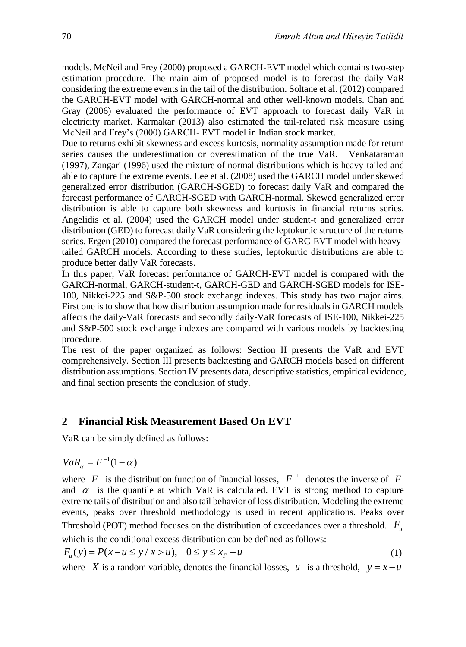models. McNeil and Frey (2000) proposed a GARCH-EVT model which contains two-step estimation procedure. The main aim of proposed model is to forecast the daily-VaR considering the extreme events in the tail of the distribution. Soltane et al. (2012) compared the GARCH-EVT model with GARCH-normal and other well-known models. Chan and Gray (2006) evaluated the performance of EVT approach to forecast daily VaR in electricity market. Karmakar (2013) also estimated the tail-related risk measure using McNeil and Frey's (2000) GARCH- EVT model in Indian stock market.

Due to returns exhibit skewness and excess kurtosis, normality assumption made for return series causes the underestimation or overestimation of the true VaR. Venkataraman (1997), Zangari (1996) used the mixture of normal distributions which is heavy-tailed and able to capture the extreme events. Lee et al. (2008) used the GARCH model under skewed generalized error distribution (GARCH-SGED) to forecast daily VaR and compared the forecast performance of GARCH-SGED with GARCH-normal. Skewed generalized error distribution is able to capture both skewness and kurtosis in financial returns series. Angelidis et al. (2004) used the GARCH model under student-t and generalized error distribution (GED) to forecast daily VaR considering the leptokurtic structure of the returns series. Ergen (2010) compared the forecast performance of GARC-EVT model with heavytailed GARCH models. According to these studies, leptokurtic distributions are able to produce better daily VaR forecasts.

In this paper, VaR forecast performance of GARCH-EVT model is compared with the GARCH-normal, GARCH-student-t, GARCH-GED and GARCH-SGED models for ISE-100, Nikkei-225 and S&P-500 stock exchange indexes. This study has two major aims. First one is to show that how distribution assumption made for residuals in GARCH models affects the daily-VaR forecasts and secondly daily-VaR forecasts of ISE-100, Nikkei-225 and S&P-500 stock exchange indexes are compared with various models by backtesting procedure.

The rest of the paper organized as follows: Section II presents the VaR and EVT comprehensively. Section III presents backtesting and GARCH models based on different distribution assumptions. Section IV presents data, descriptive statistics, empirical evidence, and final section presents the conclusion of study.

# **2 Financial Risk Measurement Based On EVT**

VaR can be simply defined as follows:

$$
VaR_{\alpha} = F^{-1}(1-\alpha)
$$

where  $F$  is the distribution function of financial losses,  $F^{-1}$  denotes the inverse of  $F$ and  $\alpha$  is the quantile at which VaR is calculated. EVT is strong method to capture extreme tails of distribution and also tail behavior of loss distribution. Modeling the extreme events, peaks over threshold methodology is used in recent applications. Peaks over Threshold (POT) method focuses on the distribution of exceedances over a threshold.  $F_u$ 

which is the conditional excess distribution can be defined as follows:

$$
F_u(y) = P(x - u \le y / x > u), \quad 0 \le y \le x_F - u
$$
 (1)

where X is a random variable, denotes the financial losses, u is a threshold,  $y = x - u$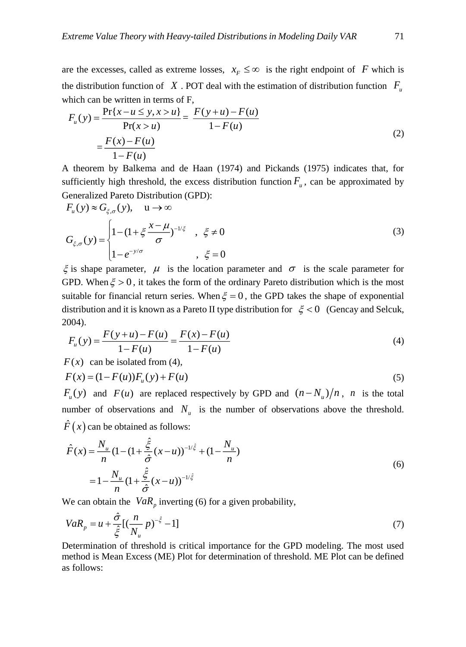are the excesses, called as extreme losses,  $x_F \leq \infty$  is the right endpoint of F which is the distribution function of X. POT deal with the estimation of distribution function  $F_{\mu}$ which can be written in terms of F,

$$
F_u(y) = \frac{\Pr\{x - u \le y, x > u\}}{\Pr(x > u)} = \frac{F(y + u) - F(u)}{1 - F(u)}
$$
  
= 
$$
\frac{F(x) - F(u)}{1 - F(u)}
$$
 (2)

A theorem by Balkema and de Haan (1974) and Pickands (1975) indicates that, for sufficiently high threshold, the excess distribution function  $F_{\mu}$ , can be approximated by Generalized Pareto Distribution (GPD):

$$
F_u(y) \approx G_{\xi,\sigma}(y), \quad u \to \infty
$$
  
\n
$$
G_{\xi,\sigma}(y) = \begin{cases} 1 - (1 + \xi \frac{x - \mu}{\sigma})^{-1/\xi} & , \xi \neq 0 \\ 1 - e^{-y/\sigma} & , \xi = 0 \end{cases}
$$
\n(3)

 $\xi$  is shape parameter,  $\mu$  is the location parameter and  $\sigma$  is the scale parameter for GPD. When  $\xi > 0$ , it takes the form of the ordinary Pareto distribution which is the most suitable for financial return series. When  $\xi = 0$ , the GPD takes the shape of exponential distribution and it is known as a Pareto II type distribution for  $\xi < 0$  (Gencay and Selcuk, 2004).

$$
F_u(y) = \frac{F(y+u) - F(u)}{1 - F(u)} = \frac{F(x) - F(u)}{1 - F(u)}
$$
\n(4)

*F x*( ) can be isolated from (4),

$$
F(x) = (1 - F(u))F_u(y) + F(u)
$$
\n(5)

 $F_u(y)$  and  $F(u)$  are replaced respectively by GPD and  $(n - N_u)/n$ , *n* is the total number of observations and  $N_{\nu}$  is the number of observations above the threshold.  $\hat{F}(x)$  can be obtained as follows:

$$
\hat{F}(x) = \frac{N_u}{n} (1 - (1 + \frac{\hat{\xi}}{\hat{\sigma}}(x - u))^{-1/\hat{\xi}} + (1 - \frac{N_u}{n})
$$
  
=  $1 - \frac{N_u}{n} (1 + \frac{\hat{\xi}}{\hat{\sigma}}(x - u))^{-1/\hat{\xi}}$  (6)

We can obtain the  $VaR_p$  inverting (6) for a given probability,

$$
VaR_{p} = u + \frac{\hat{\sigma}}{\hat{\xi}} [(\frac{n}{N_{u}} p)^{-\hat{\xi}} - 1]
$$
\n(7)

Determination of threshold is critical importance for the GPD modeling. The most used method is Mean Excess (ME) Plot for determination of threshold. ME Plot can be defined as follows: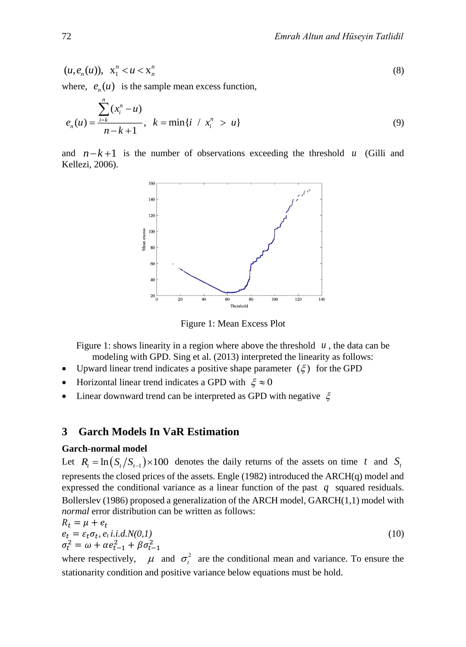$$
(u, e_n(u)), \quad \mathbf{x}_1^n < u < \mathbf{x}_n^n \tag{8}
$$

where,  $e_n(u)$  is the sample mean excess function,

$$
e_n(u) = \frac{\sum_{i=k}^{n} (x_i^n - u)}{n - k + 1}, \quad k = \min\{i \ / \ x_i^n > u\}
$$
 (9)

and  $n-k+1$  is the number of observations exceeding the threshold u (Gilli and Kellezi, 2006).



Figure 1: Mean Excess Plot

Figure 1: shows linearity in a region where above the threshold  $u$ , the data can be modeling with GPD. Sing et al. (2013) interpreted the linearity as follows:

- Upward linear trend indicates a positive shape parameter  $(\xi)$  for the GPD
- Horizontal linear trend indicates a GPD with  $\xi \approx 0$
- Linear downward trend can be interpreted as GPD with negative  $\xi$

## **3 Garch Models In VaR Estimation**

#### **Garch-normal model**

Let  $R_t = \ln(S_t/S_{t-1}) \times 100$  denotes the daily returns of the assets on time t and  $S_t$ represents the closed prices of the assets. Engle (1982) introduced the ARCH(q) model and expressed the conditional variance as a linear function of the past *q* squared residuals. Bollerslev (1986) proposed a generalization of the ARCH model, GARCH(1,1) model with *normal* error distribution can be written as follows:

$$
R_t = \mu + e_t
$$
  
\n
$$
e_t = \varepsilon_t \sigma_t, e_t \text{ i.i.d.} N(0, l)
$$
  
\n
$$
\sigma_t^2 = \omega + \alpha e_{t-1}^2 + \beta \sigma_{t-1}^2
$$
\n(10)

where respectively,  $\mu$  and  $\sigma_t^2$  are the conditional mean and variance. To ensure the stationarity condition and positive variance below equations must be hold.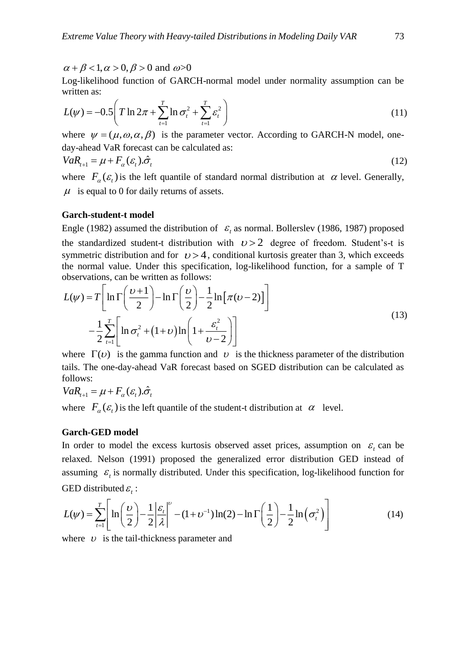$\alpha + \beta < 1, \alpha > 0, \beta > 0$  and  $\omega > 0$ 

Log-likelihood function of GARCH-normal model under normality assumption can be written as:

$$
L(\psi) = -0.5 \left( T \ln 2\pi + \sum_{t=1}^{T} \ln \sigma_t^2 + \sum_{t=1}^{T} \varepsilon_t^2 \right)
$$
 (11)

where  $\psi = (\mu, \omega, \alpha, \beta)$  is the parameter vector. According to GARCH-N model, oneday-ahead VaR forecast can be calculated as:

$$
VaR_{t+1} = \mu + F_{\alpha}(\varepsilon_t).\hat{\sigma}_t
$$
\n(12)

where  $F_{\alpha}(\varepsilon_t)$  is the left quantile of standard normal distribution at  $\alpha$  level. Generally,  $\mu$  is equal to 0 for daily returns of assets.

#### **Garch-student-t model**

Engle (1982) assumed the distribution of  $\varepsilon$ <sub>t</sub> as normal. Bollerslev (1986, 1987) proposed the standardized student-t distribution with  $v > 2$  degree of freedom. Student's-t is symmetric distribution and for  $\nu > 4$ , conditional kurtosis greater than 3, which exceeds the normal value. Under this specification, log-likelihood function, for a sample of T observations, can be written as follows:

$$
L(\psi) = T \left[ \ln \Gamma \left( \frac{\nu + 1}{2} \right) - \ln \Gamma \left( \frac{\nu}{2} \right) - \frac{1}{2} \ln \left[ \pi (\nu - 2) \right] \right]
$$
  

$$
- \frac{1}{2} \sum_{t=1}^{T} \left[ \ln \sigma_t^2 + (1 + \nu) \ln \left( 1 + \frac{\varepsilon_t^2}{\nu - 2} \right) \right]
$$
 (13)

where  $\Gamma(v)$  is the gamma function and v is the thickness parameter of the distribution tails. The one-day-ahead VaR forecast based on SGED distribution can be calculated as follows:

$$
VaR_{t+1} = \mu + F_{\alpha}(\varepsilon_t).\hat{\sigma}_t
$$

where  $F_{\alpha}(\varepsilon_t)$  is the left quantile of the student-t distribution at  $\alpha$  level.

#### **Garch-GED model**

In order to model the excess kurtosis observed asset prices, assumption on  $\varepsilon$ <sub>t</sub> can be relaxed. Nelson (1991) proposed the generalized error distribution GED instead of assuming  $\varepsilon$ <sub>t</sub> is normally distributed. Under this specification, log-likelihood function for GED distributed  $\varepsilon_i$ :

$$
L(\psi) = \sum_{t=1}^{T} \left[ \ln\left(\frac{\psi}{2}\right) - \frac{1}{2} \left| \frac{\varepsilon_t}{\lambda} \right|^{\nu} - (1 + \nu^{-1}) \ln(2) - \ln \Gamma\left(\frac{1}{2}\right) - \frac{1}{2} \ln\left(\sigma_t^2\right) \right]
$$
(14)

where  $\upsilon$  is the tail-thickness parameter and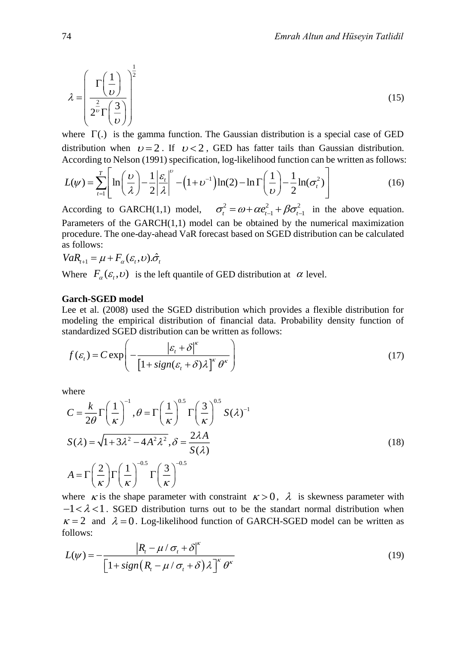$$
\lambda = \left(\frac{\Gamma\left(\frac{1}{\nu}\right)}{2^{\frac{2}{\nu}}\Gamma\left(\frac{3}{\nu}\right)}\right)^{\frac{1}{2}}
$$
(15)

where  $\Gamma(.)$  is the gamma function. The Gaussian distribution is a special case of GED distribution when  $v=2$ . If  $v<2$ , GED has fatter tails than Gaussian distribution.

distribution when 
$$
\nu = 2
$$
. If  $\nu < 2$ , GED has fatter tails than Gaussian distribution.  
\nAccording to Nelson (1991) specification, log-likelihood function can be written as follows:  
\n
$$
L(\psi) = \sum_{t=1}^{T} \left[ \ln \left( \frac{\nu}{\lambda} \right) - \frac{1}{2} \left| \frac{\varepsilon_t}{\lambda} \right|^{\nu} - \left( 1 + \nu^{-1} \right) \ln(2) - \ln \Gamma \left( \frac{1}{\nu} \right) - \frac{1}{2} \ln(\sigma_t^2) \right]
$$
\n(16)

According to GARCH(1,1) model,  $\sigma_t^2 = \omega + \alpha e_{t-1}^2 + \beta \sigma_{t-1}^2$  in the above equation. Parameters of the GARCH(1,1) model can be obtained by the numerical maximization procedure. The one-day-ahead VaR forecast based on SGED distribution can be calculated as follows:

$$
VaR_{t+1} = \mu + F_{\alpha}(\varepsilon_t, \nu).\hat{\sigma}_t
$$

Where  $F_{\alpha}(\varepsilon_t, v)$  is the left quantile of GED distribution at  $\alpha$  level.

#### **Garch-SGED model**

Lee et al. (2008) used the SGED distribution which provides a flexible distribution for modeling the empirical distribution of financial data. Probability density function of standardized SGED distribution can be written as follows:

$$
f(\varepsilon_t) = C \exp\left(-\frac{|\varepsilon_t + \delta|^{\kappa}}{\left[1 + sign(\varepsilon_t + \delta)\lambda\right]^{\kappa} \theta^{\kappa}}\right)
$$
(17)

where

$$
C = \frac{k}{2\theta} \Gamma\left(\frac{1}{\kappa}\right)^{-1}, \theta = \Gamma\left(\frac{1}{\kappa}\right)^{0.5} \Gamma\left(\frac{3}{\kappa}\right)^{0.5} S(\lambda)^{-1}
$$
  

$$
S(\lambda) = \sqrt{1 + 3\lambda^2 - 4A^2\lambda^2}, \delta = \frac{2\lambda A}{S(\lambda)}
$$
  

$$
A = \Gamma\left(\frac{2}{\kappa}\right) \Gamma\left(\frac{1}{\kappa}\right)^{-0.5} \Gamma\left(\frac{3}{\kappa}\right)^{-0.5}
$$
 (18)

where  $\kappa$  is the shape parameter with constraint  $\kappa > 0$ ,  $\lambda$  is skewness parameter with  $-1 < \lambda < 1$ . SGED distribution turns out to be the standart normal distribution when  $\kappa = 2$  and  $\lambda = 0$ . Log-likelihood function of GARCH-SGED model can be written as follows:

$$
L(\psi) = -\frac{\left|R_t - \mu / \sigma_t + \delta\right|^{\kappa}}{\left[1 + sign\left(R_t - \mu / \sigma_t + \delta\right)\lambda\right]^{\kappa} \theta^{\kappa}}
$$
\n(19)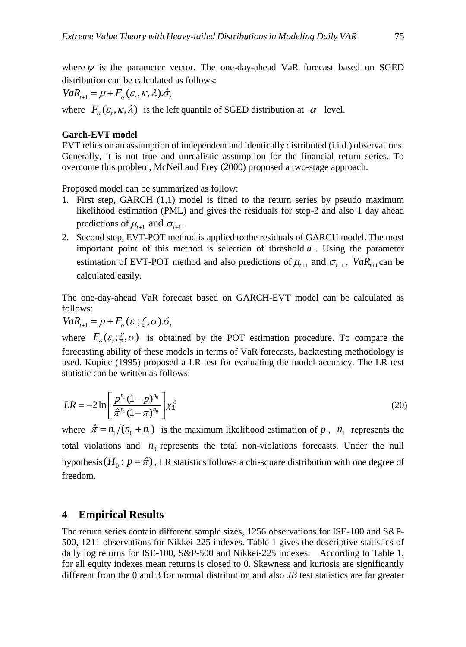where  $\psi$  is the parameter vector. The one-day-ahead VaR forecast based on SGED distribution can be calculated as follows:

 $VaR_{t+1} = \mu + F_{\alpha}(\varepsilon_{t}, \kappa, \lambda).\hat{\sigma}_{t}$ 

where  $F_{\alpha}(\varepsilon_t, \kappa, \lambda)$  is the left quantile of SGED distribution at  $\alpha$  level.

## **Garch-EVT model**

EVT relies on an assumption of independent and identically distributed (i.i.d.) observations. Generally, it is not true and unrealistic assumption for the financial return series. To overcome this problem, McNeil and Frey (2000) proposed a two-stage approach.

Proposed model can be summarized as follow:

- 1. First step, GARCH (1,1) model is fitted to the return series by pseudo maximum likelihood estimation (PML) and gives the residuals for step-2 and also 1 day ahead predictions of  $\mu_{t+1}$  and  $\sigma_{t+1}$ .
- 2. Second step, EVT-POT method is applied to the residuals of GARCH model. The most important point of this method is selection of threshold  $u$ . Using the parameter estimation of EVT-POT method and also predictions of  $\mu_{t+1}$  and  $\sigma_{t+1}$ ,  $VaR_{t+1}$  can be calculated easily.

The one-day-ahead VaR forecast based on GARCH-EVT model can be calculated as follows:

 $VaR_{t+1} = \mu + F_{\alpha}(\varepsilon_t; \xi, \sigma).\hat{\sigma}_t$ 

where  $F_{\alpha}(\varepsilon, \xi, \sigma)$  is obtained by the POT estimation procedure. To compare the forecasting ability of these models in terms of VaR forecasts, backtesting methodology is used. Kupiec (1995) proposed a LR test for evaluating the model accuracy. The LR test statistic can be written as follows:

$$
LR = -2\ln\left[\frac{p^{n_1}(1-p)^{n_0}}{\hat{\pi}^{n_1}(1-\pi)^{n_0}}\right] \chi_1^2
$$
\n(20)

where  $\hat{\pi} = n_1/(n_0 + n_1)$  is the maximum likelihood estimation of p,  $n_1$  represents the total violations and  $n_0$  represents the total non-violations forecasts. Under the null hypothesis ( $H_0: p = \hat{\pi}$ ), LR statistics follows a chi-square distribution with one degree of freedom.

# **4 Empirical Results**

The return series contain different sample sizes, 1256 observations for ISE-100 and S&P-500, 1211 observations for Nikkei-225 indexes. Table 1 gives the descriptive statistics of daily log returns for ISE-100, S&P-500 and Nikkei-225 indexes. According to Table 1, for all equity indexes mean returns is closed to 0. Skewness and kurtosis are significantly different from the 0 and 3 for normal distribution and also *JB* test statistics are far greater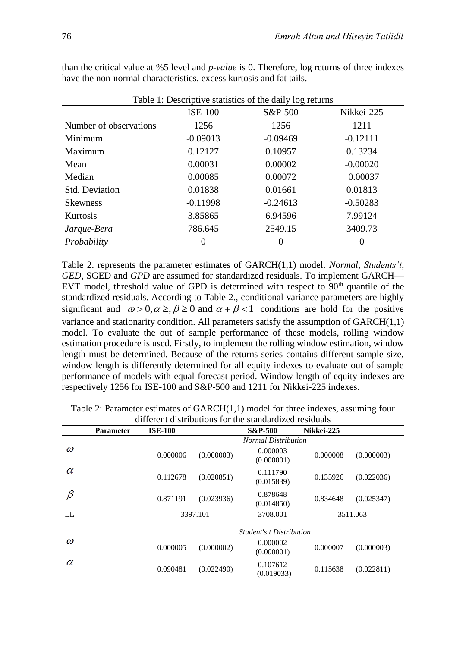| Table 1: Descriptive statistics of the daily log returns |                |            |            |  |  |
|----------------------------------------------------------|----------------|------------|------------|--|--|
|                                                          | <b>ISE-100</b> | S&P-500    | Nikkei-225 |  |  |
| Number of observations                                   | 1256           | 1256       | 1211       |  |  |
| Minimum                                                  | $-0.09013$     | $-0.09469$ | $-0.12111$ |  |  |
| Maximum                                                  | 0.12127        | 0.10957    | 0.13234    |  |  |
| Mean                                                     | 0.00031        | 0.00002    | $-0.00020$ |  |  |
| Median                                                   | 0.00085        | 0.00072    | 0.00037    |  |  |
| <b>Std. Deviation</b>                                    | 0.01838        | 0.01661    | 0.01813    |  |  |
| <b>Skewness</b>                                          | $-0.11998$     | $-0.24613$ | $-0.50283$ |  |  |
| <b>Kurtosis</b>                                          | 3.85865        | 6.94596    | 7.99124    |  |  |
| Jarque-Bera                                              | 786.645        | 2549.15    | 3409.73    |  |  |
| Probability                                              |                | 0          | 0          |  |  |

than the critical value at %5 level and *p-value* is 0. Therefore, log returns of three indexes have the non-normal characteristics, excess kurtosis and fat tails.

Table 2. represents the parameter estimates of GARCH(1,1) model. *Normal*, *Students't*, *GED*, SGED and *GPD* are assumed for standardized residuals. To implement GARCH— EVT model, threshold value of GPD is determined with respect to  $90<sup>th</sup>$  quantile of the standardized residuals. According to Table 2., conditional variance parameters are highly significant and  $\omega > 0, \alpha \ge \beta \ge 0$  and  $\alpha + \beta < 1$  conditions are hold for the positive variance and stationarity condition. All parameters satisfy the assumption of  $GARCH(1,1)$ model. To evaluate the out of sample performance of these models, rolling window estimation procedure is used. Firstly, to implement the rolling window estimation, window length must be determined. Because of the returns series contains different sample size, window length is differently determined for all equity indexes to evaluate out of sample performance of models with equal forecast period. Window length of equity indexes are respectively 1256 for ISE-100 and S&P-500 and 1211 for Nikkei-225 indexes.

|           | <b>Parameter</b> | <b>ISE-100</b> |            | <b>S&amp;P-500</b>              | Nikkei-225 |            |
|-----------|------------------|----------------|------------|---------------------------------|------------|------------|
|           |                  |                |            | <b>Normal Distribution</b>      |            |            |
| $\omega$  |                  | 0.000006       | (0.000003) | 0.000003<br>(0.000001)          | 0.000008   | (0.000003) |
| $\alpha$  |                  | 0.112678       | (0.020851) | 0.111790<br>(0.015839)          | 0.135926   | (0.022036) |
| $\beta$   |                  | 0.871191       | (0.023936) | 0.878648<br>(0.014850)          | 0.834648   | (0.025347) |
| $\rm{LL}$ |                  |                | 3397.101   | 3708.001                        |            | 3511.063   |
|           |                  |                |            | <b>Student's t Distribution</b> |            |            |
| $\omega$  |                  | 0.000005       | (0.000002) | 0.000002<br>(0.000001)          | 0.000007   | (0.000003) |
| $\alpha$  |                  | 0.090481       | (0.022490) | 0.107612<br>(0.019033)          | 0.115638   | (0.022811) |

Table 2: Parameter estimates of  $GARCH(1,1)$  model for three indexes, assuming four different distributions for the standardized residuals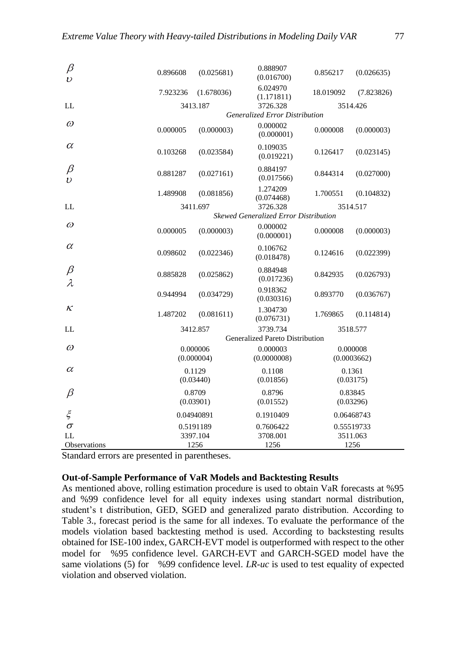| β<br>$\overline{\nu}$ | 0.896608                       | (0.025681) | 0.888907<br>(0.016700)                | 0.856217    | (0.026635) |
|-----------------------|--------------------------------|------------|---------------------------------------|-------------|------------|
|                       | 7.923236                       | (1.678036) | 6.024970<br>(1.171811)                | 18.019092   | (7.823826) |
| LL                    |                                | 3413.187   | 3726.328                              |             | 3514.426   |
|                       | Generalized Error Distribution |            |                                       |             |            |
| $\omega$              | 0.000005                       | (0.000003) | 0.000002<br>(0.000001)                | 0.000008    | (0.000003) |
| $\alpha$              | 0.103268                       | (0.023584) | 0.109035<br>(0.019221)                | 0.126417    | (0.023145) |
| β<br>υ                | 0.881287                       | (0.027161) | 0.884197<br>(0.017566)                | 0.844314    | (0.027000) |
|                       | 1.489908                       | (0.081856) | 1.274209<br>(0.074468)                | 1.700551    | (0.104832) |
| LL.                   |                                | 3411.697   | 3726.328                              |             | 3514.517   |
|                       |                                |            | Skewed Generalized Error Distribution |             |            |
| $\omega$              | 0.000005                       | (0.000003) | 0.000002<br>(0.000001)                | 0.000008    | (0.000003) |
| $\alpha$              | 0.098602                       | (0.022346) | 0.106762<br>(0.018478)                | 0.124616    | (0.022399) |
| $\beta$<br>λ          | 0.885828                       | (0.025862) | 0.884948<br>(0.017236)                | 0.842935    | (0.026793) |
|                       | 0.944994                       | (0.034729) | 0.918362<br>(0.030316)                | 0.893770    | (0.036767) |
| κ                     | 1.487202                       | (0.081611) | 1.304730<br>(0.076731)                | 1.769865    | (0.114814) |
| LL.                   |                                | 3412.857   | 3739.734                              |             | 3518.577   |
|                       |                                |            | Generalized Pareto Distribution       |             |            |
| $\omega$              | 0.000006<br>(0.000004)         |            | 0.000003                              |             | 0.000008   |
|                       |                                |            | (0.0000008)                           | (0.0003662) |            |
| $\alpha$              | 0.1129                         |            | 0.1108                                |             | 0.1361     |
| (0.03440)             |                                | (0.01856)  | (0.03175)                             |             |            |
| β                     | 0.8709                         |            | 0.8796                                |             | 0.83845    |
|                       | (0.03901)                      |            | (0.01552)                             | (0.03296)   |            |
| $\xi$                 | 0.04940891                     |            | 0.1910409                             |             | 0.06468743 |
| $\sigma$              | 0.5191189                      |            | 0.7606422                             |             | 0.55519733 |
| LL                    | 3397.104                       |            | 3708.001                              | 3511.063    |            |
| <b>Observations</b>   |                                | 1256       | 1256                                  | 1256        |            |

Standard errors are presented in parentheses.

### **Out-of-Sample Performance of VaR Models and Backtesting Results**

As mentioned above, rolling estimation procedure is used to obtain VaR forecasts at %95 and %99 confidence level for all equity indexes using standart normal distribution, student's t distribution, GED, SGED and generalized parato distribution. According to Table 3., forecast period is the same for all indexes. To evaluate the performance of the models violation based backtesting method is used. According to backstesting results obtained for ISE-100 index, GARCH-EVT model is outperformed with respect to the other model for %95 confidence level. GARCH-EVT and GARCH-SGED model have the same violations (5) for %99 confidence level. *LR-uc* is used to test equality of expected violation and observed violation.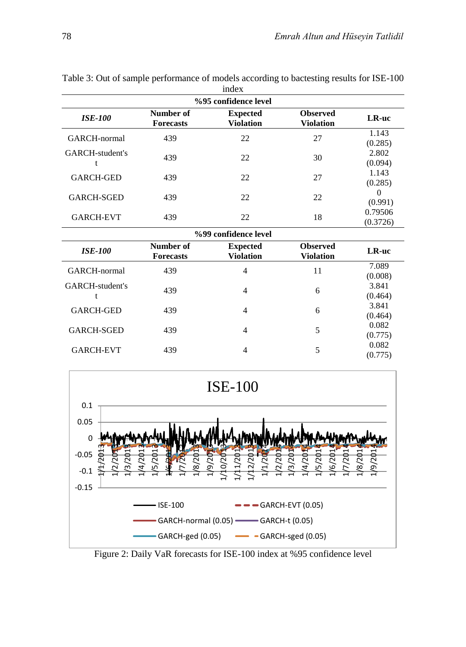| index                         |                                     |                                     |                     |  |  |  |
|-------------------------------|-------------------------------------|-------------------------------------|---------------------|--|--|--|
| %95 confidence level          |                                     |                                     |                     |  |  |  |
| Number of<br><b>Forecasts</b> | <b>Expected</b><br><b>Violation</b> | <b>Observed</b><br><b>Violation</b> | LR-uc               |  |  |  |
| 439                           | 22                                  | 27                                  | 1.143<br>(0.285)    |  |  |  |
| 439                           | 22                                  | 30                                  | 2.802<br>(0.094)    |  |  |  |
| 439                           | 22                                  | 27                                  | 1.143<br>(0.285)    |  |  |  |
| 439                           | 22                                  | 22                                  | $\Omega$<br>(0.991) |  |  |  |
| 439                           | 22                                  | 18                                  | 0.79506<br>(0.3726) |  |  |  |
|                               |                                     |                                     |                     |  |  |  |
| Number of<br><b>Forecasts</b> | <b>Expected</b><br><b>Violation</b> | <b>Observed</b><br><b>Violation</b> | LR-uc               |  |  |  |
| 439                           | 4                                   | 11                                  | 7.089<br>(0.008)    |  |  |  |
| 439                           | 4                                   | 6                                   | 3.841<br>(0.464)    |  |  |  |
| 439                           | $\overline{4}$                      | 6                                   | 3.841<br>(0.464)    |  |  |  |
| 439                           | 4                                   | 5                                   | 0.082<br>(0.775)    |  |  |  |
| 439                           | 4                                   | 5                                   | 0.082<br>(0.775)    |  |  |  |
|                               |                                     | %99 confidence level                |                     |  |  |  |

Table 3: Out of sample performance of models according to bactesting results for ISE-100

-0.15 -0.1 -0.05 0 0.05 0.1 1/1/2013 1/2/2013 1/3/2013 1/4/2013 1/5/2013 **EHOAPHE**  $1/7/2013$ 1/8/2013 1/9/2013 1/10/2013 1/11/2013 1/12/2013 1/1/2014 1/2/2014 1/3/2014 1/4/2014 1/5/2014 1/6/2014 1/7/2014 1/8/2014 1/9/2014 ISE-100



Figure 2: Daily VaR forecasts for ISE-100 index at %95 confidence level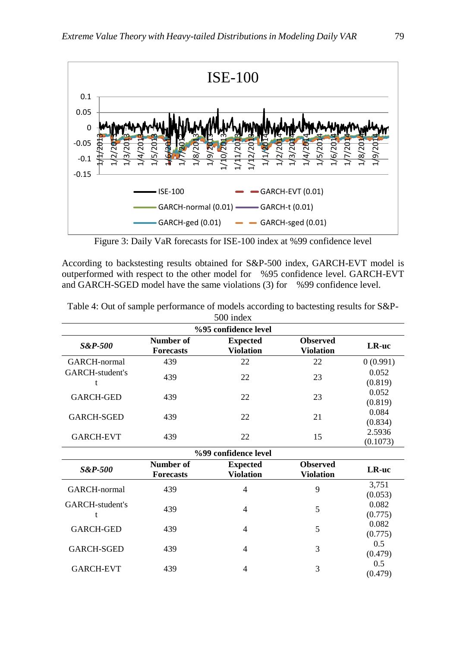

Figure 3: Daily VaR forecasts for ISE-100 index at %99 confidence level

According to backstesting results obtained for S&P-500 index, GARCH-EVT model is outperformed with respect to the other model for %95 confidence level. GARCH-EVT and GARCH-SGED model have the same violations (3) for %99 confidence level.

|                          |                               | 500 index                           |                                     |                    |  |  |  |
|--------------------------|-------------------------------|-------------------------------------|-------------------------------------|--------------------|--|--|--|
|                          |                               | %95 confidence level                |                                     |                    |  |  |  |
| <b>S&amp;P-500</b>       | Number of<br><b>Forecasts</b> | <b>Expected</b><br><b>Violation</b> | <b>Observed</b><br>Violation        | LR-uc              |  |  |  |
| GARCH-normal             | 439                           | 22                                  | 22                                  | 0(0.991)           |  |  |  |
| GARCH-student's<br>t     | 439                           | 22                                  | 23                                  | 0.052<br>(0.819)   |  |  |  |
| <b>GARCH-GED</b>         | 439                           | 22                                  | 23                                  | 0.052<br>(0.819)   |  |  |  |
| <b>GARCH-SGED</b>        | 439                           | 22                                  | 21                                  | 0.084<br>(0.834)   |  |  |  |
| <b>GARCH-EVT</b>         | 439                           | 22                                  | 15                                  | 2.5936<br>(0.1073) |  |  |  |
|                          | %99 confidence level          |                                     |                                     |                    |  |  |  |
| <b>S&amp;P-500</b>       | Number of<br><b>Forecasts</b> | <b>Expected</b><br><b>Violation</b> | <b>Observed</b><br><b>Violation</b> | LR-uc              |  |  |  |
| GARCH-normal             | 439                           | 4                                   | 9                                   | 3,751<br>(0.053)   |  |  |  |
| GARCH-student's<br>t     | 439                           | 4                                   | 5                                   | 0.082<br>(0.775)   |  |  |  |
| <b>GARCH-GED</b>         | 439                           | 4                                   | 5                                   | 0.082<br>(0.775)   |  |  |  |
| GARCH-SGED               | 439                           | 4                                   | 3                                   | 0.5<br>(0.479)     |  |  |  |
| $C$ in $C$ if $T$ if $T$ | 100                           |                                     |                                     | 0.5                |  |  |  |

GARCH-EVT 439 4 3

Table 4: Out of sample performance of models according to bactesting results for S&P-

(0.479)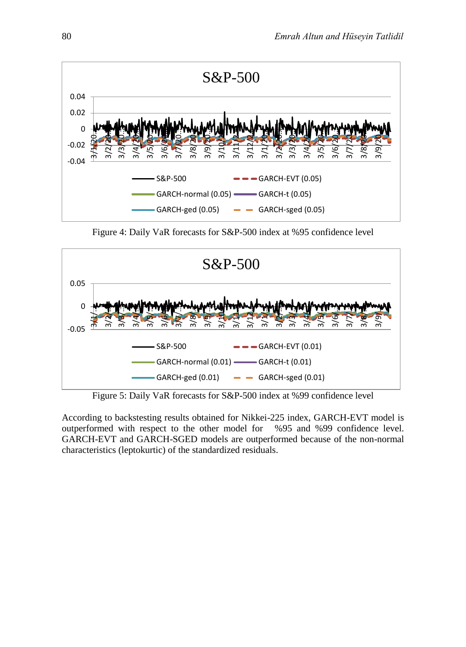

Figure 4: Daily VaR forecasts for S&P-500 index at %95 confidence level



Figure 5: Daily VaR forecasts for S&P-500 index at %99 confidence level

According to backstesting results obtained for Nikkei-225 index, GARCH-EVT model is outperformed with respect to the other model for %95 and %99 confidence level. GARCH-EVT and GARCH-SGED models are outperformed because of the non-normal characteristics (leptokurtic) of the standardized residuals.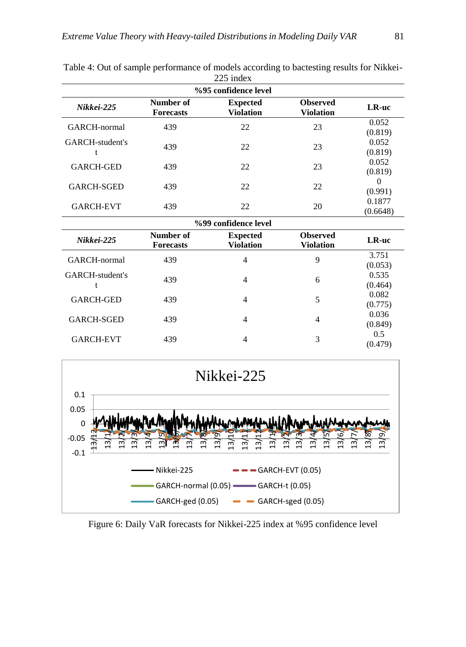| %95 confidence level |                               |                                     |                                     |                     |  |  |
|----------------------|-------------------------------|-------------------------------------|-------------------------------------|---------------------|--|--|
| Nikkei-225           | Number of<br><b>Forecasts</b> | <b>Expected</b><br><b>Violation</b> | <b>Observed</b><br><b>Violation</b> | LR-uc               |  |  |
| GARCH-normal         | 439                           | 22                                  | 23                                  | 0.052<br>(0.819)    |  |  |
| GARCH-student's      | 439                           | 22                                  | 23                                  | 0.052<br>(0.819)    |  |  |
| <b>GARCH-GED</b>     | 439                           | 22                                  | 23                                  | 0.052<br>(0.819)    |  |  |
| <b>GARCH-SGED</b>    | 439                           | 22                                  | 22                                  | $\theta$<br>(0.991) |  |  |
| <b>GARCH-EVT</b>     | 439                           | 22                                  | 20                                  | 0.1877<br>(0.6648)  |  |  |
|                      |                               | %99 confidence level                |                                     |                     |  |  |
|                      | $N$ $m$ $h$ $\alpha$ $\beta$  | $E$ in oat od                       | $\Omega$                            |                     |  |  |

Table 4: Out of sample performance of models according to bactesting results for Nikkei- $225$  index

| %уу соппаенсе теуег |                               |                              |                                     |                  |  |  |
|---------------------|-------------------------------|------------------------------|-------------------------------------|------------------|--|--|
| Nikkei-225          | Number of<br><b>Forecasts</b> | <b>Expected</b><br>Violation | <b>Observed</b><br><b>Violation</b> | LR-uc            |  |  |
| GARCH-normal        | 439                           | 4                            | 9                                   | 3.751<br>(0.053) |  |  |
| GARCH-student's     | 439                           | $\overline{4}$               | 6                                   | 0.535<br>(0.464) |  |  |
| <b>GARCH-GED</b>    | 439                           | 4                            | 5                                   | 0.082<br>(0.775) |  |  |
| <b>GARCH-SGED</b>   | 439                           | 4                            | 4                                   | 0.036<br>(0.849) |  |  |
| <b>GARCH-EVT</b>    | 439                           | 4                            | 3                                   | 0.5<br>(0.479)   |  |  |



Figure 6: Daily VaR forecasts for Nikkei-225 index at %95 confidence level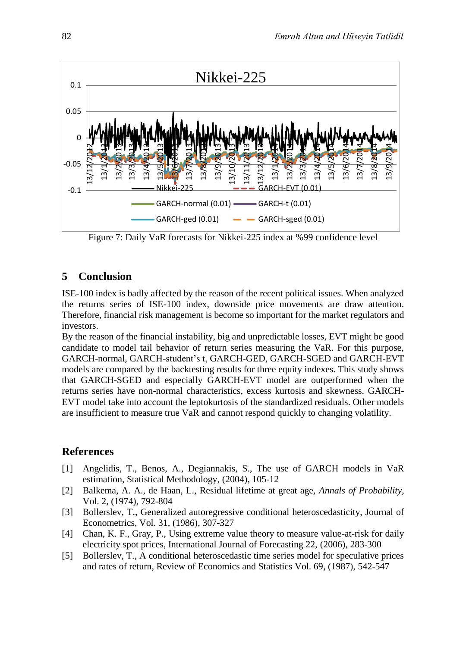

Figure 7: Daily VaR forecasts for Nikkei-225 index at %99 confidence level

# **5 Conclusion**

ISE-100 index is badly affected by the reason of the recent political issues. When analyzed the returns series of ISE-100 index, downside price movements are draw attention. Therefore, financial risk management is become so important for the market regulators and investors.

By the reason of the financial instability, big and unpredictable losses, EVT might be good candidate to model tail behavior of return series measuring the VaR. For this purpose, GARCH-normal, GARCH-student's t, GARCH-GED, GARCH-SGED and GARCH-EVT models are compared by the backtesting results for three equity indexes. This study shows that GARCH-SGED and especially GARCH-EVT model are outperformed when the returns series have non-normal characteristics, excess kurtosis and skewness. GARCH-EVT model take into account the leptokurtosis of the standardized residuals. Other models are insufficient to measure true VaR and cannot respond quickly to changing volatility.

# **References**

- [1] Angelidis, T., Benos, A., Degiannakis, S., The use of GARCH models in VaR estimation, Statistical Methodology, (2004), 105-12
- [2] Balkema, A. A., de Haan, L., Residual lifetime at great age, *Annals of Probability*, Vol. 2, (1974), 792-804
- [3] Bollerslev, T., Generalized autoregressive conditional heteroscedasticity, Journal of Econometrics, Vol. 31, (1986), 307-327
- [4] Chan, K. F., Gray, P., Using extreme value theory to measure value-at-risk for daily electricity spot prices, International Journal of Forecasting 22, (2006), 283-300
- [5] Bollerslev, T., A conditional heteroscedastic time series model for speculative prices and rates of return, Review of Economics and Statistics Vol. 69, (1987), 542-547